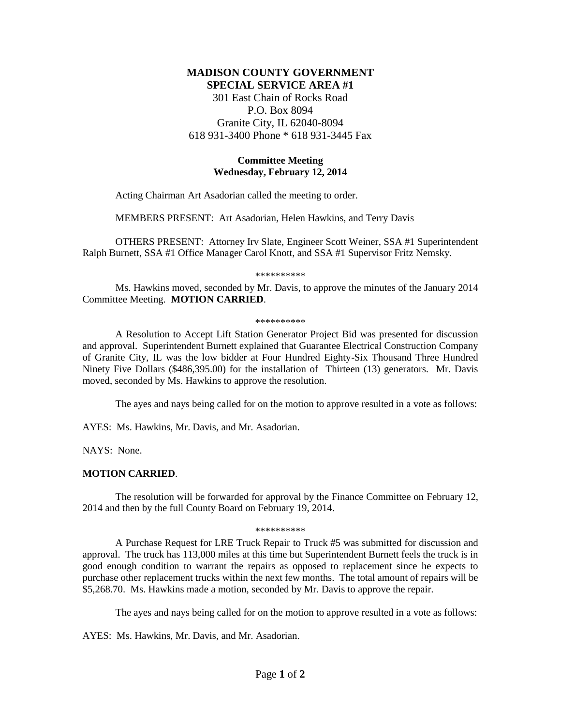# **MADISON COUNTY GOVERNMENT SPECIAL SERVICE AREA #1**

301 East Chain of Rocks Road P.O. Box 8094 Granite City, IL 62040-8094 618 931-3400 Phone \* 618 931-3445 Fax

# **Committee Meeting Wednesday, February 12, 2014**

Acting Chairman Art Asadorian called the meeting to order.

MEMBERS PRESENT: Art Asadorian, Helen Hawkins, and Terry Davis

OTHERS PRESENT: Attorney Irv Slate, Engineer Scott Weiner, SSA #1 Superintendent Ralph Burnett, SSA #1 Office Manager Carol Knott, and SSA #1 Supervisor Fritz Nemsky.

\*\*\*\*\*\*\*\*\*\*

Ms. Hawkins moved, seconded by Mr. Davis, to approve the minutes of the January 2014 Committee Meeting. **MOTION CARRIED**.

\*\*\*\*\*\*\*\*\*\*

A Resolution to Accept Lift Station Generator Project Bid was presented for discussion and approval. Superintendent Burnett explained that Guarantee Electrical Construction Company of Granite City, IL was the low bidder at Four Hundred Eighty-Six Thousand Three Hundred Ninety Five Dollars (\$486,395.00) for the installation of Thirteen (13) generators. Mr. Davis moved, seconded by Ms. Hawkins to approve the resolution.

The ayes and nays being called for on the motion to approve resulted in a vote as follows:

AYES: Ms. Hawkins, Mr. Davis, and Mr. Asadorian.

NAYS: None.

## **MOTION CARRIED**.

The resolution will be forwarded for approval by the Finance Committee on February 12, 2014 and then by the full County Board on February 19, 2014.

\*\*\*\*\*\*\*\*\*\*

A Purchase Request for LRE Truck Repair to Truck #5 was submitted for discussion and approval. The truck has 113,000 miles at this time but Superintendent Burnett feels the truck is in good enough condition to warrant the repairs as opposed to replacement since he expects to purchase other replacement trucks within the next few months. The total amount of repairs will be \$5,268.70. Ms. Hawkins made a motion, seconded by Mr. Davis to approve the repair.

The ayes and nays being called for on the motion to approve resulted in a vote as follows:

AYES: Ms. Hawkins, Mr. Davis, and Mr. Asadorian.